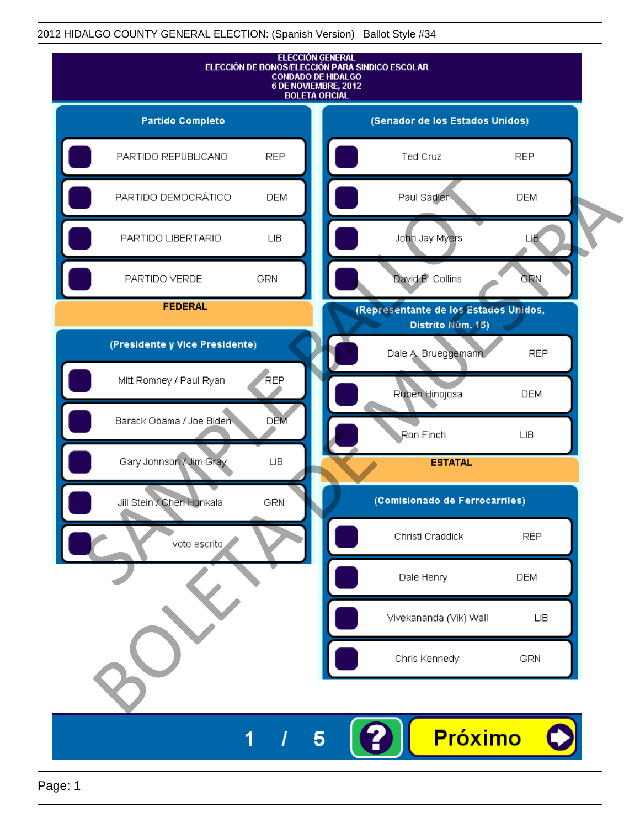

Page: 1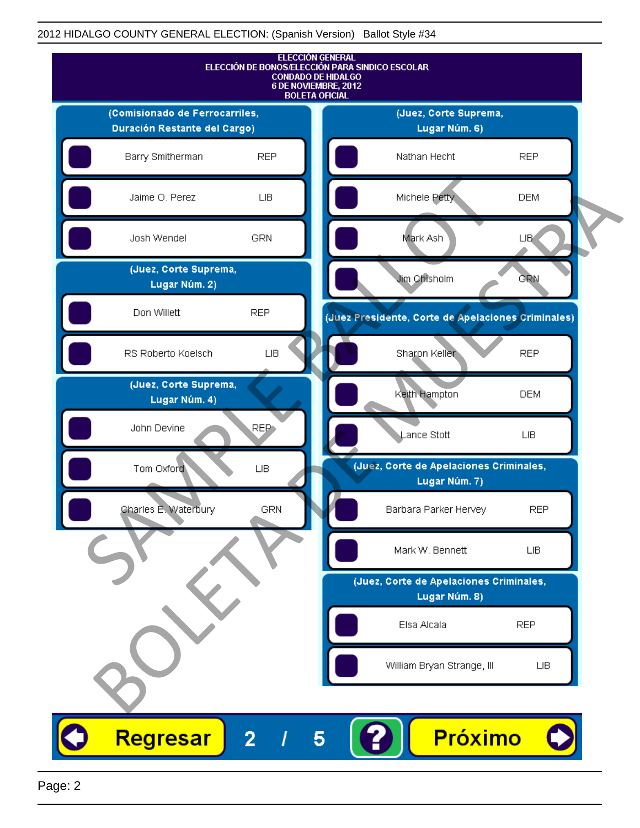

Page: 2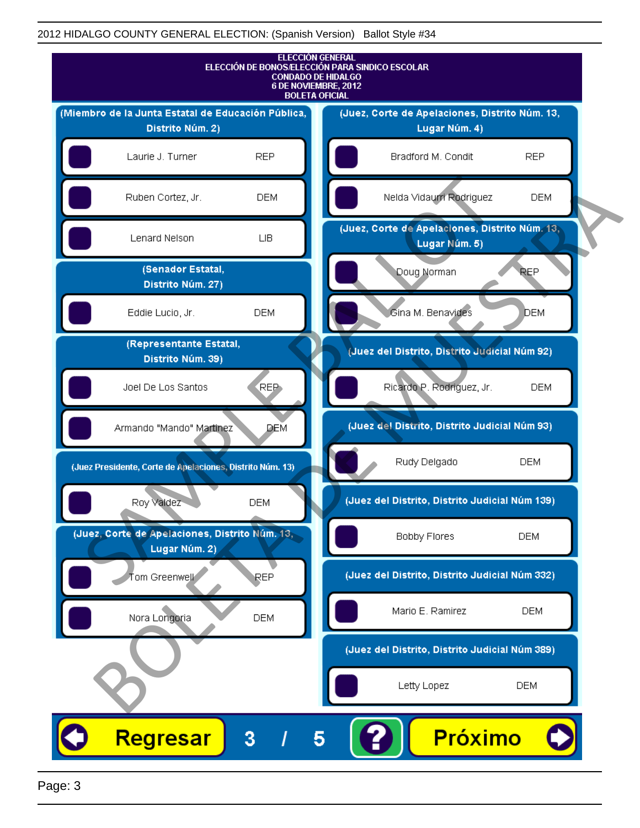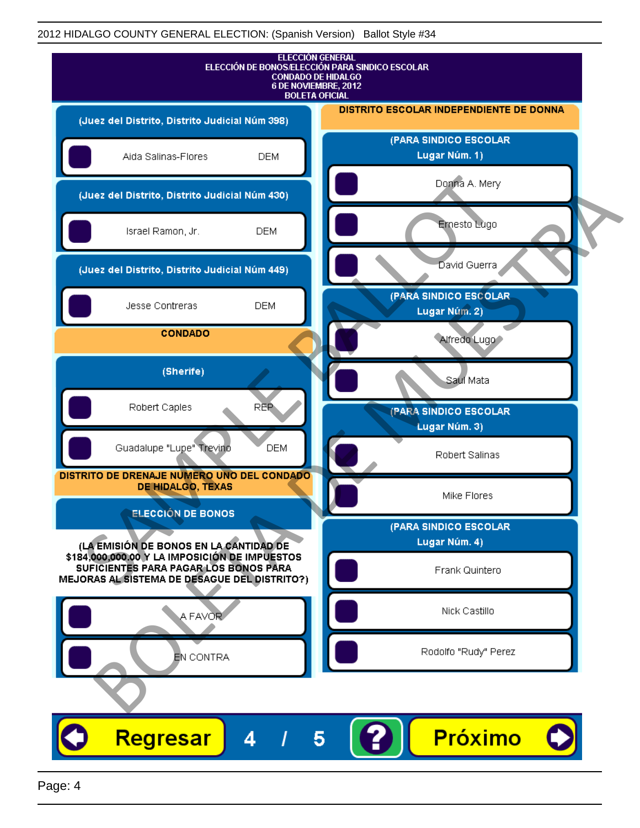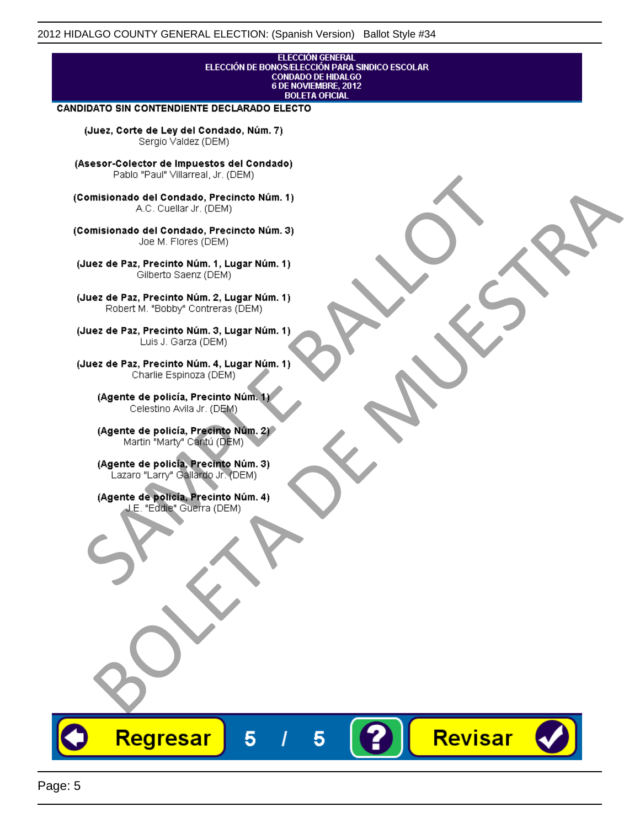## **ELECCIÓN GENERAL** ELECCIÓN DE BONOS/ELECCIÓN PARA SINDICO ESCOLAR<br>CONDADO DE HIDALGO<br>6 DE NOVIEMBRE, 2012 **BOLETA OFICIAL**

Revisar

### CANDIDATO SIN CONTENDIENTE DECLARADO ELECTO

(Juez, Corte de Ley del Condado, Núm. 7) Sergio Valdez (DEM)

(Asesor-Colector de Impuestos del Condado)

Fallo Fall Willdrea, J.I. (DEM)<br>
Consistionado el Condado, Precincto Núm. 1)<br>
A.C. Cuellar Jr. (DEM)<br>
Ullez de Paz, Precinto Núm. 1)<br>
Juez de Paz, Precinto Núm. 1, Lugar Núm. 1)<br>
Gilberto Sentr (DEM)<br>
Robert M. "Bobby" Con misionado del Condiado, Precincto Núm. 1)<br>
Andro del Condiado, Precincto Núm. 3)<br>
ez de Paz, Precinto Núm. 21<br>
algo M. Picer Lo Saerz, (CIEM)<br>
algo M. Picer Lo Saerz, (CIEM)<br>
algo M. Picer Lo Saerz, (CIEM)<br>
ez de Paz, Prec

Regresar

5

5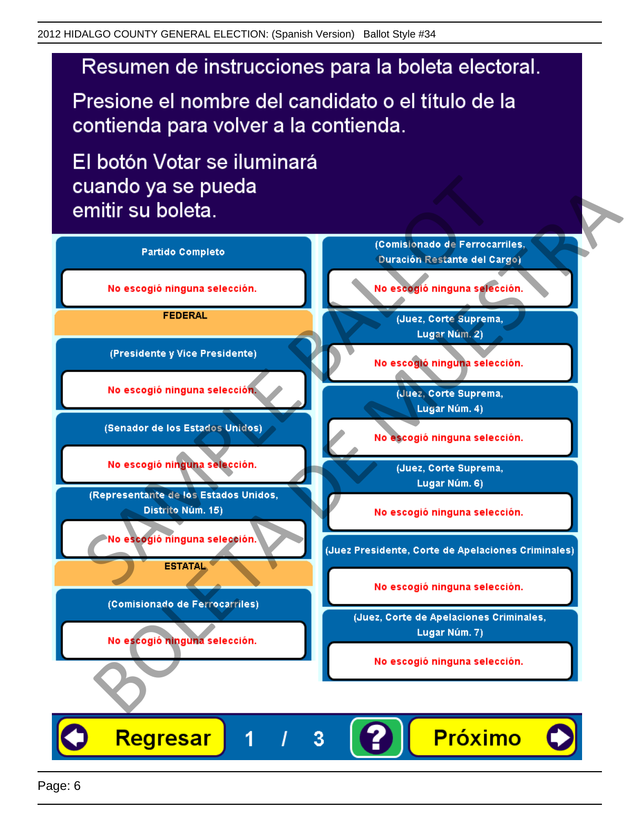# Resumen de instrucciones para la boleta electoral.

Presione el nombre del candidato o el título de la contienda para volver a la contienda.

El botón Votar se iluminará

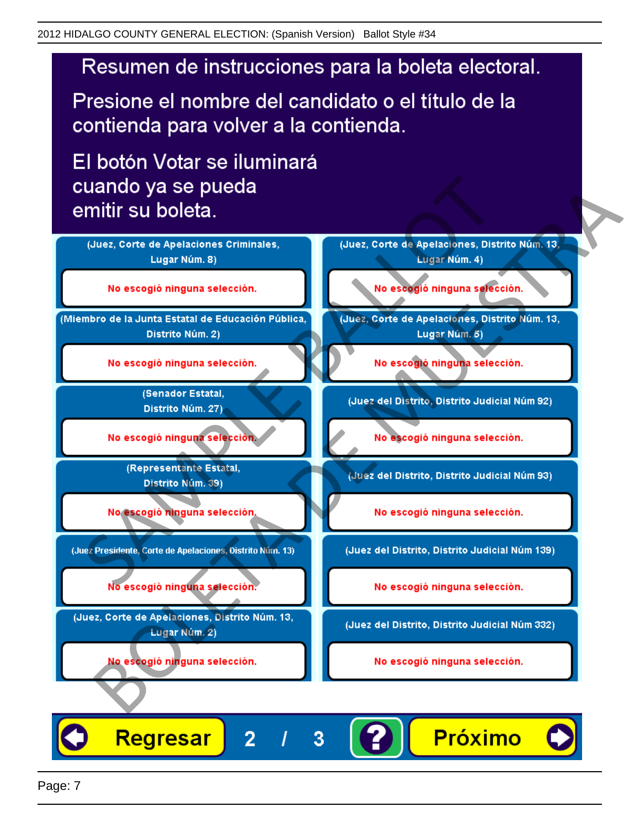# Resumen de instrucciones para la boleta electoral.

Presione el nombre del candidato o el título de la contienda para volver a la contienda.

El botón Votar se iluminará